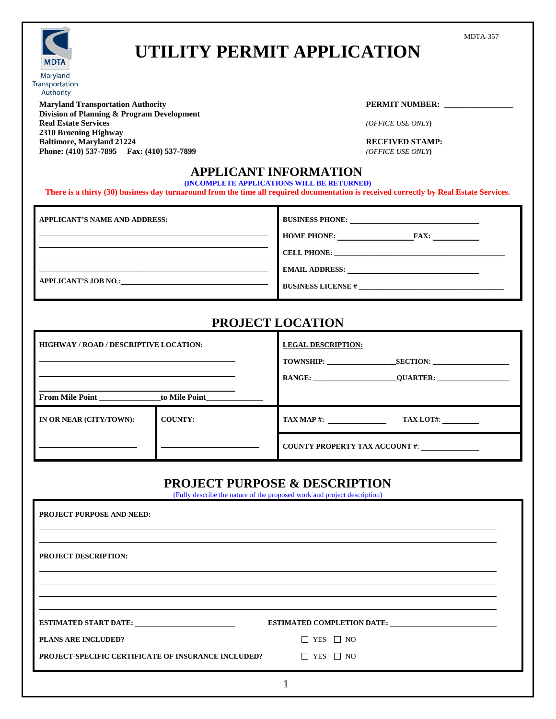

# **UTILITY PERMIT APPLICATION**

**Maryland Transportation Authority PERMIT NUMBER: \_\_\_\_\_\_\_\_\_\_\_\_\_\_\_\_\_ Division of Planning & Program Development Real Estate Services** *(OFFICE USE ONLY***) 2310 Broening Highway Baltimore, Maryland 21224 RECEIVED STAM<br>
<b>Phone:** (410) 537-7895 **Fax:** (410) 537-7899 (*OFFICE USE ONLY*) **Phone: (410) 537-7895 Fax: (410) 537-7899** 

### **APPLICANT INFORMATION**

**(INCOMPLETE APPLICATIONS WILL BE RETURNED)**

**There is a thirty (30) business day turnaround from the time all required documentation is received correctly by Real Estate Services.**

| <b>APPLICANT'S NAME AND ADDRESS:</b> |                            |
|--------------------------------------|----------------------------|
|                                      | <b>HOME PHONE:</b><br>FAX: |
|                                      |                            |
|                                      | <b>EMAIL ADDRESS:</b>      |
|                                      | <b>BUSINESS LICENSE #</b>  |
|                                      |                            |

## **PROJECT LOCATION**

| <b>HIGHWAY / ROAD / DESCRIPTIVE LOCATION:</b> |                | <b>LEGAL DESCRIPTION:</b>             |                                    |
|-----------------------------------------------|----------------|---------------------------------------|------------------------------------|
|                                               |                | TOWNSHIP:                             | <b>SECTION:</b><br>RANGE: QUARTER: |
| From Mile Point to Mile Point                 |                |                                       |                                    |
| IN OR NEAR (CITY/TOWN):                       | <b>COUNTY:</b> | $\mathbf{TAX} \mathbf{MAP}$ #:        | TAX LOT#:                          |
|                                               |                | <b>COUNTY PROPERTY TAX ACCOUNT #:</b> |                                    |

### **PROJECT PURPOSE & DESCRIPTION**

(Fully describe the nature of the proposed work and project description)

| PROJECT PURPOSE AND NEED:                                                       |                                   |  |
|---------------------------------------------------------------------------------|-----------------------------------|--|
|                                                                                 |                                   |  |
| <b>PROJECT DESCRIPTION:</b>                                                     |                                   |  |
|                                                                                 |                                   |  |
|                                                                                 |                                   |  |
| <b>ESTIMATED START DATE:</b>                                                    | <b>ESTIMATED COMPLETION DATE:</b> |  |
| <b>PLANS ARE INCLUDED?</b>                                                      | $\Box$ YES $\Box$ NO              |  |
| <b>PROJECT-SPECIFIC CERTIFICATE OF INSURANCE INCLUDED?</b> $\Box$ YES $\Box$ NO |                                   |  |
|                                                                                 |                                   |  |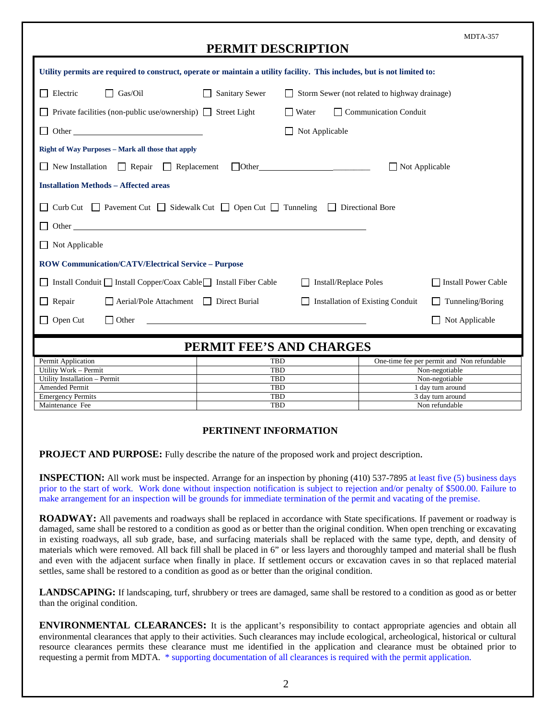# **PERMIT DESCRIPTION**

| Utility permits are required to construct, operate or maintain a utility facility. This includes, but is not limited to: |                       |                                                   |                                            |  |
|--------------------------------------------------------------------------------------------------------------------------|-----------------------|---------------------------------------------------|--------------------------------------------|--|
| $\Box$ Electric<br>Gas/Oil<br>$\mathsf{L}$                                                                               | <b>Sanitary Sewer</b> | Storm Sewer (not related to highway drainage)     |                                            |  |
| $\Box$ Private facilities (non-public use/ownership) $\Box$ Street Light                                                 |                       | $\Box$ Water<br>$\Box$ Communication Conduit      |                                            |  |
| Other<br>$\Box$                                                                                                          |                       | Not Applicable                                    |                                            |  |
| Right of Way Purposes - Mark all those that apply                                                                        |                       |                                                   |                                            |  |
| $\Box$ New Installation $\Box$ Repair $\Box$ Replacement<br>$\Box$ Other<br>$\Box$ Not Applicable                        |                       |                                                   |                                            |  |
| <b>Installation Methods - Affected areas</b>                                                                             |                       |                                                   |                                            |  |
| Curb Cut $\Box$ Pavement Cut $\Box$ Sidewalk Cut $\Box$ Open Cut $\Box$ Tunneling $\Box$ Directional Bore                |                       |                                                   |                                            |  |
|                                                                                                                          |                       |                                                   |                                            |  |
| Not Applicable                                                                                                           |                       |                                                   |                                            |  |
| <b>ROW Communication/CATV/Electrical Service - Purpose</b>                                                               |                       |                                                   |                                            |  |
| □ Install Conduit □ Install Copper/Coax Cable □ Install Fiber Cable                                                      |                       | <b>Install/Replace Poles</b>                      | Install Power Cable                        |  |
| $\Box$ Repair<br>Aerial/Pole Attachment Direct Burial                                                                    |                       | <b>Installation of Existing Conduit</b><br>$\Box$ | Tunneling/Boring                           |  |
| Open Cut<br>$\Box$ Other<br>Not Applicable                                                                               |                       |                                                   |                                            |  |
| PERMIT FEE'S AND CHARGES                                                                                                 |                       |                                                   |                                            |  |
| Permit Application                                                                                                       | TBD                   |                                                   | One-time fee per permit and Non refundable |  |
| Utility Work - Permit                                                                                                    | <b>TBD</b>            |                                                   | Non-negotiable                             |  |
| Utility Installation - Permit                                                                                            | <b>TBD</b>            |                                                   | Non-negotiable                             |  |
| <b>Amended Permit</b><br><b>Emergency Permits</b>                                                                        | TBD<br>TBD            |                                                   | 1 day turn around<br>3 day turn around     |  |
| Maintenance Fee                                                                                                          | <b>TBD</b>            |                                                   | Non refundable                             |  |

#### **PERTINENT INFORMATION**

**PROJECT AND PURPOSE:** Fully describe the nature of the proposed work and project description.

**INSPECTION:** All work must be inspected. Arrange for an inspection by phoning (410) 537-7895 at least five (5) business days prior to the start of work. Work done without inspection notification is subject to rejection and/or penalty of \$500.00. Failure to make arrangement for an inspection will be grounds for immediate termination of the permit and vacating of the premise.

**ROADWAY:** All pavements and roadways shall be replaced in accordance with State specifications. If pavement or roadway is damaged, same shall be restored to a condition as good as or better than the original condition. When open trenching or excavating in existing roadways, all sub grade, base, and surfacing materials shall be replaced with the same type, depth, and density of materials which were removed. All back fill shall be placed in 6" or less layers and thoroughly tamped and material shall be flush and even with the adjacent surface when finally in place. If settlement occurs or excavation caves in so that replaced material settles, same shall be restored to a condition as good as or better than the original condition.

**LANDSCAPING:** If landscaping, turf, shrubbery or trees are damaged, same shall be restored to a condition as good as or better than the original condition.

**ENVIRONMENTAL CLEARANCES:** It is the applicant's responsibility to contact appropriate agencies and obtain all environmental clearances that apply to their activities. Such clearances may include ecological, archeological, historical or cultural resource clearances permits these clearance must me identified in the application and clearance must be obtained prior to requesting a permit from MDTA. \* supporting documentation of all clearances is required with the permit application.

MDTA-357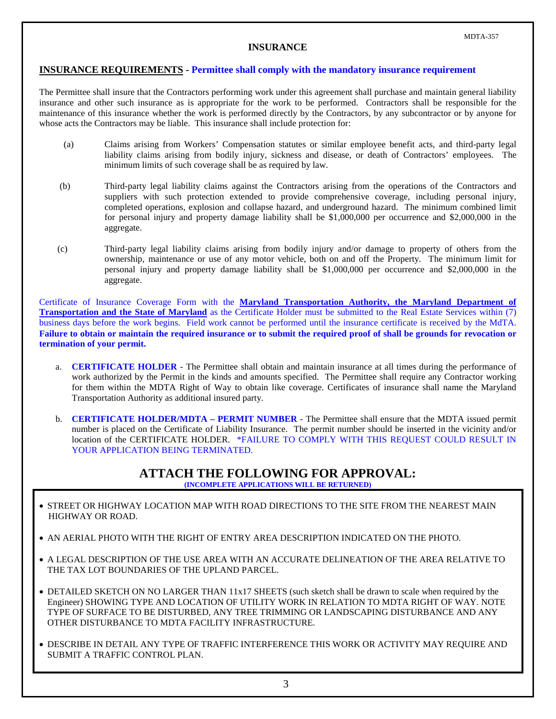#### **INSURANCE**

#### **INSURANCE REQUIREMENTS - Permittee shall comply with the mandatory insurance requirement**

The Permittee shall insure that the Contractors performing work under this agreement shall purchase and maintain general liability insurance and other such insurance as is appropriate for the work to be performed. Contractors shall be responsible for the maintenance of this insurance whether the work is performed directly by the Contractors, by any subcontractor or by anyone for whose acts the Contractors may be liable. This insurance shall include protection for:

- (a) Claims arising from Workers' Compensation statutes or similar employee benefit acts, and third-party legal liability claims arising from bodily injury, sickness and disease, or death of Contractors' employees. The minimum limits of such coverage shall be as required by law.
- (b) Third-party legal liability claims against the Contractors arising from the operations of the Contractors and suppliers with such protection extended to provide comprehensive coverage, including personal injury, completed operations, explosion and collapse hazard, and underground hazard. The minimum combined limit for personal injury and property damage liability shall be \$1,000,000 per occurrence and \$2,000,000 in the aggregate.
- (c) Third-party legal liability claims arising from bodily injury and/or damage to property of others from the ownership, maintenance or use of any motor vehicle, both on and off the Property. The minimum limit for personal injury and property damage liability shall be \$1,000,000 per occurrence and \$2,000,000 in the aggregate.

Certificate of Insurance Coverage Form with the **Maryland Transportation Authority, the Maryland Department of Transportation and the State of Maryland** as the Certificate Holder must be submitted to the Real Estate Services within (7) business days before the work begins. Field work cannot be performed until the insurance certificate is received by the MdTA. **Failure to obtain or maintain the required insurance or to submit the required proof of shall be grounds for revocation or termination of your permit.**

- a. **CERTIFICATE HOLDER -** The Permittee shall obtain and maintain insurance at all times during the performance of work authorized by the Permit in the kinds and amounts specified. The Permittee shall require any Contractor working for them within the MDTA Right of Way to obtain like coverage. Certificates of insurance shall name the Maryland Transportation Authority as additional insured party.
- b. **CERTIFICATE HOLDER/MDTA – PERMIT NUMBER -** The Permittee shall ensure that the MDTA issued permit number is placed on the Certificate of Liability Insurance. The permit number should be inserted in the vicinity and/or location of the CERTIFICATE HOLDER. \*FAILURE TO COMPLY WITH THIS REQUEST COULD RESULT IN YOUR APPLICATION BEING TERMINATED.

# **ATTACH THE FOLLOWING FOR APPROVAL:**

**(INCOMPLETE APPLICATIONS WILL BE RETURNED)**

- STREET OR HIGHWAY LOCATION MAP WITH ROAD DIRECTIONS TO THE SITE FROM THE NEAREST MAIN HIGHWAY OR ROAD.
- AN AERIAL PHOTO WITH THE RIGHT OF ENTRY AREA DESCRIPTION INDICATED ON THE PHOTO.
- A LEGAL DESCRIPTION OF THE USE AREA WITH AN ACCURATE DELINEATION OF THE AREA RELATIVE TO THE TAX LOT BOUNDARIES OF THE UPLAND PARCEL.
- DETAILED SKETCH ON NO LARGER THAN 11x17 SHEETS (such sketch shall be drawn to scale when required by the Engineer) SHOWING TYPE AND LOCATION OF UTILITY WORK IN RELATION TO MDTA RIGHT OF WAY. NOTE TYPE OF SURFACE TO BE DISTURBED, ANY TREE TRIMMING OR LANDSCAPING DISTURBANCE AND ANY OTHER DISTURBANCE TO MDTA FACILITY INFRASTRUCTURE.
- DESCRIBE IN DETAIL ANY TYPE OF TRAFFIC INTERFERENCE THIS WORK OR ACTIVITY MAY REQUIRE AND SUBMIT A TRAFFIC CONTROL PLAN.